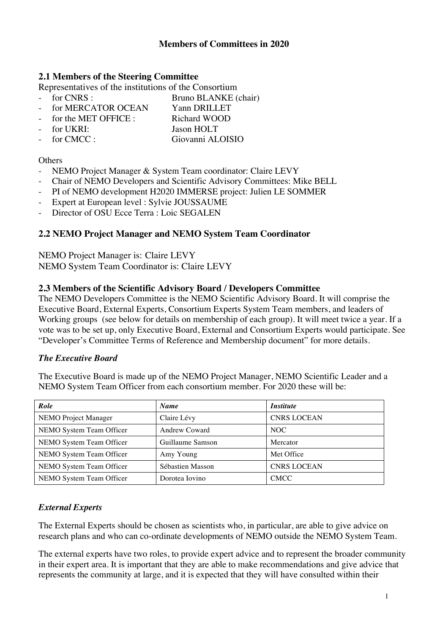### **2.1 Members of the Steering Committee**

Representatives of the institutions of the Consortium<br>France Representatives of the institutions of the Consortium

Bruno BLANKE (chair) for MERCATOR OCEAN Yann DRILLET

- for the MET OFFICE : Richard WOOD
- for UKRI: Jason HOLT
- for CMCC : Giovanni ALOISIO

#### **Others**

- NEMO Project Manager & System Team coordinator: Claire LEVY
- Chair of NEMO Developers and Scientific Advisory Committees: Mike BELL
- PI of NEMO development H2020 IMMERSE project: Julien LE SOMMER
- Expert at European level : Sylvie JOUSSAUME
- Director of OSU Ecce Terra : Loic SEGALEN

### **2.2 NEMO Project Manager and NEMO System Team Coordinator**

NEMO Project Manager is: Claire LEVY NEMO System Team Coordinator is: Claire LEVY

#### **2.3 Members of the Scientific Advisory Board / Developers Committee**

The NEMO Developers Committee is the NEMO Scientific Advisory Board. It will comprise the Executive Board, External Experts, Consortium Experts System Team members, and leaders of Working groups (see below for details on membership of each group). It will meet twice a year. If a vote was to be set up, only Executive Board, External and Consortium Experts would participate. See "Developer's Committee Terms of Reference and Membership document" for more details.

#### *The Executive Board*

The Executive Board is made up of the NEMO Project Manager, NEMO Scientific Leader and a NEMO System Team Officer from each consortium member. For 2020 these will be:

| Role                        | <b>Name</b>          | <i>Institute</i>   |
|-----------------------------|----------------------|--------------------|
| <b>NEMO</b> Project Manager | Claire Lévy          | <b>CNRS LOCEAN</b> |
| NEMO System Team Officer    | <b>Andrew Coward</b> | NOC                |
| NEMO System Team Officer    | Guillaume Samson     | Mercator           |
| NEMO System Team Officer    | Amy Young            | Met Office         |
| NEMO System Team Officer    | Sébastien Masson     | <b>CNRS LOCEAN</b> |
| NEMO System Team Officer    | Dorotea Iovino       | <b>CMCC</b>        |

#### *External Experts*

The External Experts should be chosen as scientists who, in particular, are able to give advice on research plans and who can co-ordinate developments of NEMO outside the NEMO System Team.

The external experts have two roles, to provide expert advice and to represent the broader community in their expert area. It is important that they are able to make recommendations and give advice that represents the community at large, and it is expected that they will have consulted within their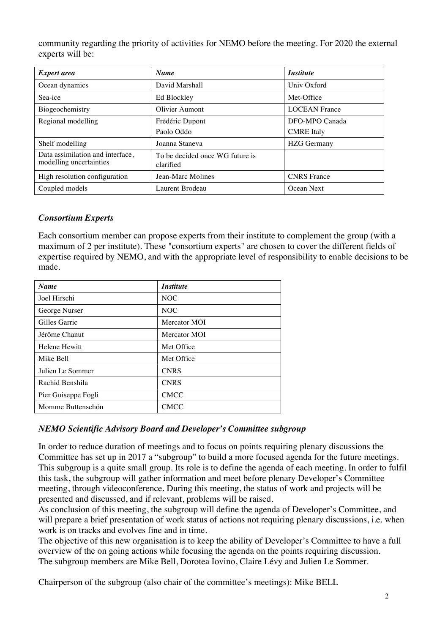community regarding the priority of activities for NEMO before the meeting. For 2020 the external experts will be:

| <b>Expert area</b>                                          | <b>Name</b>                                  | <i>Institute</i>     |
|-------------------------------------------------------------|----------------------------------------------|----------------------|
| Ocean dynamics                                              | David Marshall                               | Univ Oxford          |
| Sea-ice                                                     | Ed Blockley                                  | Met-Office           |
| Biogeochemistry                                             | Olivier Aumont                               | <b>LOCEAN France</b> |
| Regional modelling                                          | Frédéric Dupont                              | DFO-MPO Canada       |
|                                                             | Paolo Oddo                                   | <b>CMRE</b> Italy    |
| Shelf modelling                                             | Joanna Staneva                               | <b>HZG</b> Germany   |
| Data assimilation and interface,<br>modelling uncertainties | To be decided once WG future is<br>clarified |                      |
| High resolution configuration                               | Jean-Marc Molines                            | <b>CNRS</b> France   |
| Coupled models                                              | Laurent Brodeau                              | Ocean Next           |

## *Consortium Experts*

Each consortium member can propose experts from their institute to complement the group (with a maximum of 2 per institute). These "consortium experts" are chosen to cover the different fields of expertise required by NEMO, and with the appropriate level of responsibility to enable decisions to be made.

| <b>Name</b>         | <i>Institute</i> |
|---------------------|------------------|
| Joel Hirschi        | NOC              |
| George Nurser       | <b>NOC</b>       |
| Gilles Garric       | Mercator MOI     |
| Jérôme Chanut       | Mercator MOI     |
| Helene Hewitt       | Met Office       |
| Mike Bell           | Met Office       |
| Julien Le Sommer    | <b>CNRS</b>      |
| Rachid Benshila     | <b>CNRS</b>      |
| Pier Guiseppe Fogli | <b>CMCC</b>      |
| Momme Buttenschön   | <b>CMCC</b>      |

## *NEMO Scientific Advisory Board and Developer's Committee subgroup*

In order to reduce duration of meetings and to focus on points requiring plenary discussions the Committee has set up in 2017 a "subgroup" to build a more focused agenda for the future meetings. This subgroup is a quite small group. Its role is to define the agenda of each meeting. In order to fulfil this task, the subgroup will gather information and meet before plenary Developer's Committee meeting, through videoconference. During this meeting, the status of work and projects will be presented and discussed, and if relevant, problems will be raised.

As conclusion of this meeting, the subgroup will define the agenda of Developer's Committee, and will prepare a brief presentation of work status of actions not requiring plenary discussions, *i.e.* when work is on tracks and evolves fine and in time.

The objective of this new organisation is to keep the ability of Developer's Committee to have a full overview of the on going actions while focusing the agenda on the points requiring discussion. The subgroup members are Mike Bell, Dorotea Iovino, Claire Lévy and Julien Le Sommer.

Chairperson of the subgroup (also chair of the committee's meetings): Mike BELL